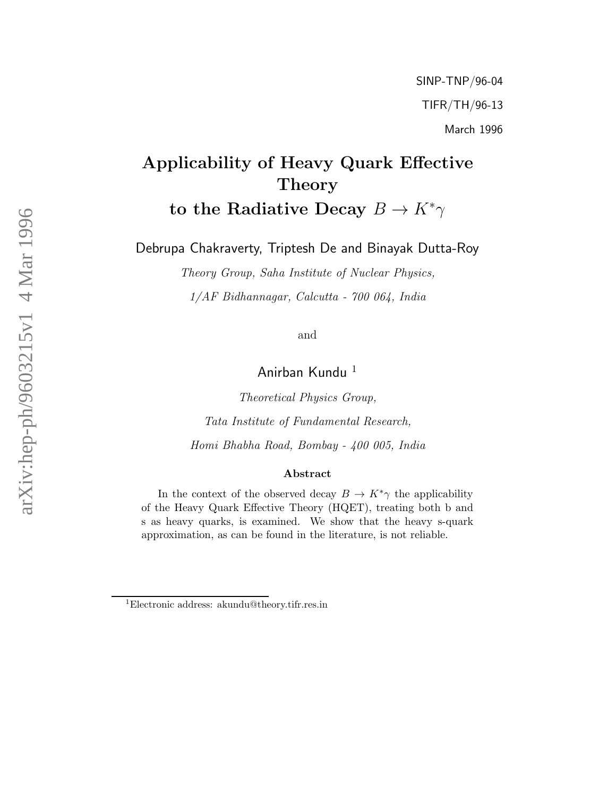# Applicability of Heavy Quark Effective Theory to the Radiative Decay  $B \to K^*\gamma$

Debrupa Chakraverty, Triptesh De and Binayak Dutta-Roy

Theory Group, Saha Institute of Nuclear Physics, 1/AF Bidhannagar, Calcutta - 700 064, India

and

Anirban Kundu <sup>1</sup>

Theoretical Physics Group, Tata Institute of Fundamental Research, Homi Bhabha Road, Bombay - 400 005, India

#### Abstract

In the context of the observed decay  $B \to K^*\gamma$  the applicability of the Heavy Quark Effective Theory (HQET), treating both b and s as heavy quarks, is examined. We show that the heavy s-quark approximation, as can be found in the literature, is not reliable.

<sup>1</sup>Electronic address: akundu@theory.tifr.res.in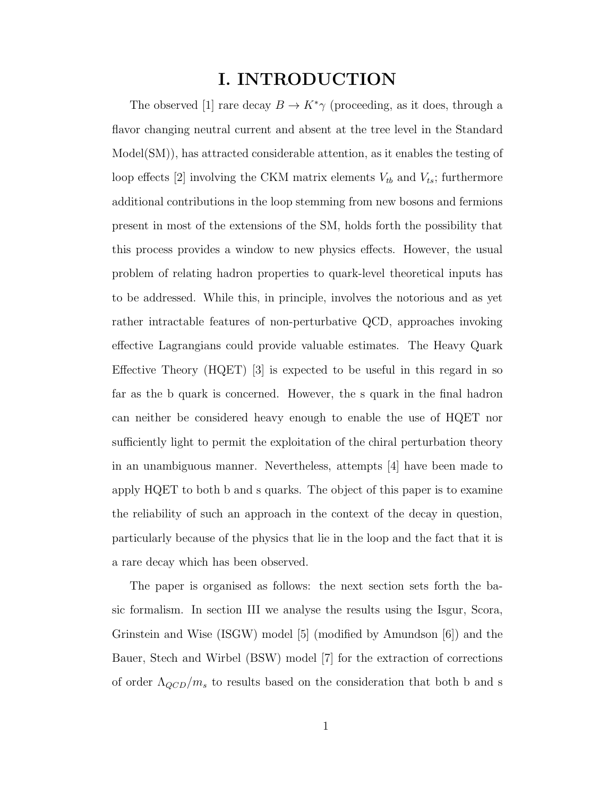# I. INTRODUCTION

The observed [1] rare decay  $B \to K^*\gamma$  (proceeding, as it does, through a flavor changing neutral current and absent at the tree level in the Standard Model(SM)), has attracted considerable attention, as it enables the testing of loop effects [2] involving the CKM matrix elements  $V_{tb}$  and  $V_{ts}$ ; furthermore additional contributions in the loop stemming from new bosons and fermions present in most of the extensions of the SM, holds forth the possibility that this process provides a window to new physics effects. However, the usual problem of relating hadron properties to quark-level theoretical inputs has to be addressed. While this, in principle, involves the notorious and as yet rather intractable features of non-perturbative QCD, approaches invoking effective Lagrangians could provide valuable estimates. The Heavy Quark Effective Theory (HQET) [3] is expected to be useful in this regard in so far as the b quark is concerned. However, the s quark in the final hadron can neither be considered heavy enough to enable the use of HQET nor sufficiently light to permit the exploitation of the chiral perturbation theory in an unambiguous manner. Nevertheless, attempts [4] have been made to apply HQET to both b and s quarks. The object of this paper is to examine the reliability of such an approach in the context of the decay in question, particularly because of the physics that lie in the loop and the fact that it is a rare decay which has been observed.

The paper is organised as follows: the next section sets forth the basic formalism. In section III we analyse the results using the Isgur, Scora, Grinstein and Wise (ISGW) model [5] (modified by Amundson [6]) and the Bauer, Stech and Wirbel (BSW) model [7] for the extraction of corrections of order  $\Lambda_{QCD}/m_s$  to results based on the consideration that both b and s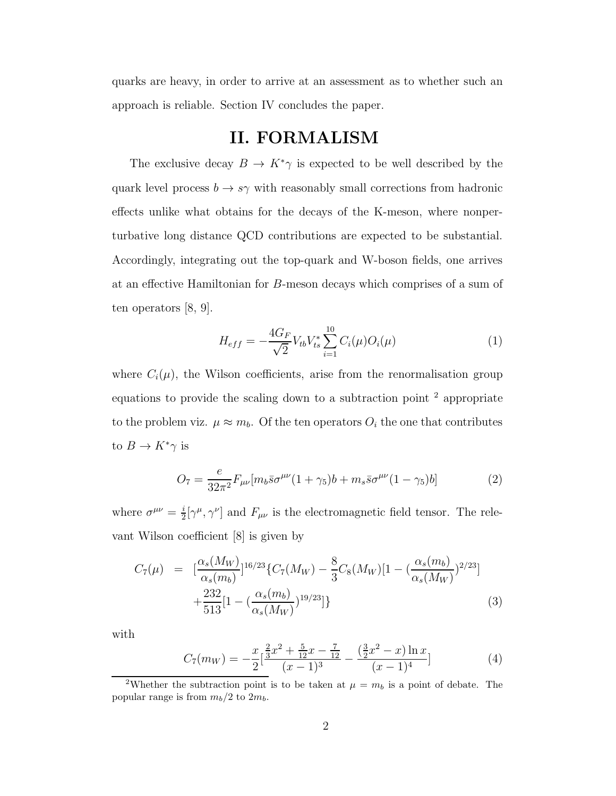quarks are heavy, in order to arrive at an assessment as to whether such an approach is reliable. Section IV concludes the paper.

## II. FORMALISM

The exclusive decay  $B \to K^*\gamma$  is expected to be well described by the quark level process  $b \to s\gamma$  with reasonably small corrections from hadronic effects unlike what obtains for the decays of the K-meson, where nonperturbative long distance QCD contributions are expected to be substantial. Accordingly, integrating out the top-quark and W-boson fields, one arrives at an effective Hamiltonian for B-meson decays which comprises of a sum of ten operators [8, 9].

$$
H_{eff} = -\frac{4G_F}{\sqrt{2}} V_{tb} V_{ts}^* \sum_{i=1}^{10} C_i(\mu) O_i(\mu)
$$
 (1)

where  $C_i(\mu)$ , the Wilson coefficients, arise from the renormalisation group equations to provide the scaling down to a subtraction point <sup>2</sup> appropriate to the problem viz.  $\mu \approx m_b$ . Of the ten operators  $O_i$  the one that contributes to  $B \to K^*\gamma$  is

$$
O_7 = \frac{e}{32\pi^2} F_{\mu\nu} [m_b \bar{s} \sigma^{\mu\nu} (1 + \gamma_5) b + m_s \bar{s} \sigma^{\mu\nu} (1 - \gamma_5) b]
$$
 (2)

where  $\sigma^{\mu\nu} = \frac{i}{2}$  $\frac{i}{2}[\gamma^{\mu}, \gamma^{\nu}]$  and  $F_{\mu\nu}$  is the electromagnetic field tensor. The relevant Wilson coefficient [8] is given by

$$
C_7(\mu) = \left[ \frac{\alpha_s(M_W)}{\alpha_s(m_b)} \right]^{16/23} \{ C_7(M_W) - \frac{8}{3} C_8(M_W) \left[ 1 - \left( \frac{\alpha_s(m_b)}{\alpha_s(M_W)} \right)^{2/23} \right] + \frac{232}{513} \left[ 1 - \left( \frac{\alpha_s(m_b)}{\alpha_s(M_W)} \right)^{19/23} \right] \}
$$
(3)

with

$$
C_7(m_W) = -\frac{x}{2} \left[ \frac{\frac{2}{3}x^2 + \frac{5}{12}x - \frac{7}{12}}{(x-1)^3} - \frac{\left(\frac{3}{2}x^2 - x\right)\ln x}{(x-1)^4} \right] \tag{4}
$$

<sup>&</sup>lt;sup>2</sup>Whether the subtraction point is to be taken at  $\mu = m_b$  is a point of debate. The popular range is from  $m_b/2$  to  $2m_b$ .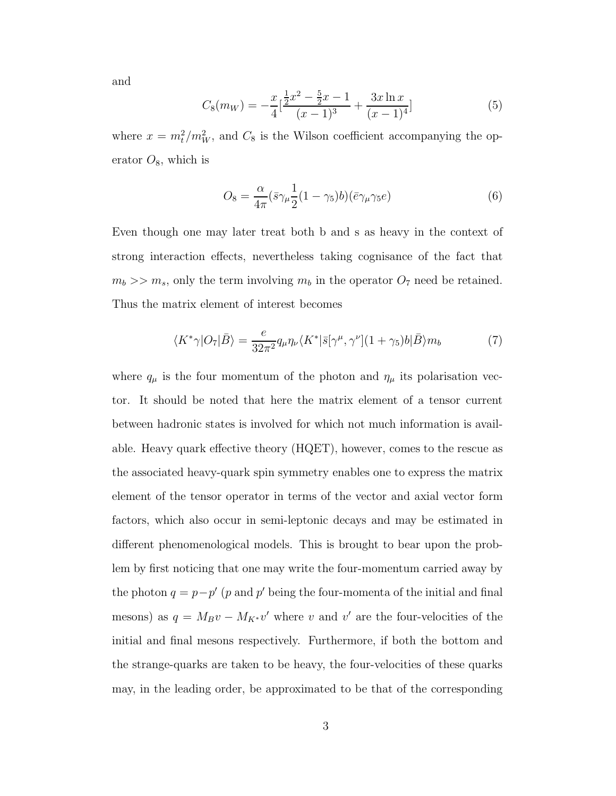and

$$
C_8(m_W) = -\frac{x}{4} \left[ \frac{\frac{1}{2}x^2 - \frac{5}{2}x - 1}{(x - 1)^3} + \frac{3x \ln x}{(x - 1)^4} \right]
$$
(5)

where  $x = m_t^2/m_W^2$ , and  $C_8$  is the Wilson coefficient accompanying the operator  $O_8$ , which is

$$
O_8 = \frac{\alpha}{4\pi} (\bar{s}\gamma_\mu \frac{1}{2} (1 - \gamma_5) b)(\bar{e}\gamma_\mu \gamma_5 e) \tag{6}
$$

Even though one may later treat both b and s as heavy in the context of strong interaction effects, nevertheless taking cognisance of the fact that  $m_b \gg m_s$ , only the term involving  $m_b$  in the operator  $O_7$  need be retained. Thus the matrix element of interest becomes

$$
\langle K^* \gamma | O_7 | \bar{B} \rangle = \frac{e}{32\pi^2} q_\mu \eta_\nu \langle K^* | \bar{s} [\gamma^\mu, \gamma^\nu] (1 + \gamma_5) b | \bar{B} \rangle m_b \tag{7}
$$

where  $q_{\mu}$  is the four momentum of the photon and  $\eta_{\mu}$  its polarisation vector. It should be noted that here the matrix element of a tensor current between hadronic states is involved for which not much information is available. Heavy quark effective theory (HQET), however, comes to the rescue as the associated heavy-quark spin symmetry enables one to express the matrix element of the tensor operator in terms of the vector and axial vector form factors, which also occur in semi-leptonic decays and may be estimated in different phenomenological models. This is brought to bear upon the problem by first noticing that one may write the four-momentum carried away by the photon  $q = p - p'$  (p and p' being the four-momenta of the initial and final mesons) as  $q = M_B v - M_{K^*} v'$  where v and v' are the four-velocities of the initial and final mesons respectively. Furthermore, if both the bottom and the strange-quarks are taken to be heavy, the four-velocities of these quarks may, in the leading order, be approximated to be that of the corresponding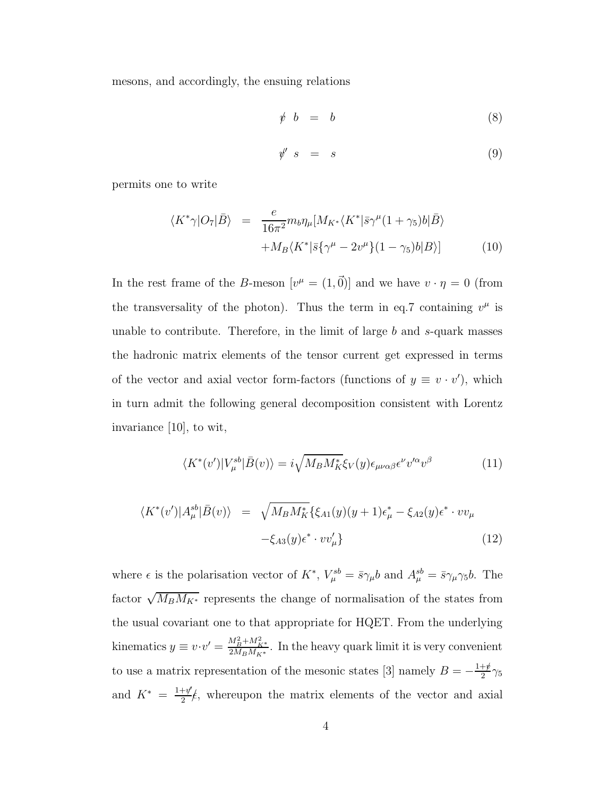mesons, and accordingly, the ensuing relations

$$
\psi \hspace{2mm} b \hspace{2mm} = \hspace{2mm} b \hspace{2mm} (8)
$$

$$
\psi' \quad s \quad = \quad s \tag{9}
$$

permits one to write

$$
\langle K^*\gamma | O_7 | \bar{B} \rangle = \frac{e}{16\pi^2} m_b \eta_\mu [M_{K^*} \langle K^* | \bar{s} \gamma^\mu (1 + \gamma_5) b | \bar{B} \rangle + M_B \langle K^* | \bar{s} \{ \gamma^\mu - 2v^\mu \} (1 - \gamma_5) b | B \rangle ] \tag{10}
$$

In the rest frame of the B-meson  $[v^{\mu} = (1, \vec{0})]$  and we have  $v \cdot \eta = 0$  (from the transversality of the photon). Thus the term in eq.7 containing  $v^{\mu}$  is unable to contribute. Therefore, in the limit of large  $b$  and  $s$ -quark masses the hadronic matrix elements of the tensor current get expressed in terms of the vector and axial vector form-factors (functions of  $y \equiv v \cdot v'$ ), which in turn admit the following general decomposition consistent with Lorentz invariance [10], to wit,

$$
\langle K^*(v')|V_{\mu}^{sb}|\bar{B}(v)\rangle = i\sqrt{M_B M_K^*} \xi_V(y)\epsilon_{\mu\nu\alpha\beta}\epsilon^{\nu}v'^{\alpha}v^{\beta}
$$
(11)

$$
\langle K^*(v')|A_\mu^{sb}|\bar{B}(v)\rangle = \sqrt{M_B M_K^*} \{\xi_{A1}(y)(y+1)\epsilon_\mu^* - \xi_{A2}(y)\epsilon^* \cdot vv_\mu -\xi_{A3}(y)\epsilon^* \cdot vv_\mu'\}
$$
(12)

where  $\epsilon$  is the polarisation vector of  $K^*$ ,  $V_{\mu}^{sb} = \bar{s}\gamma_{\mu}b$  and  $A_{\mu}^{sb} = \bar{s}\gamma_{\mu}\gamma_5b$ . The factor  $\sqrt{M_B M_{K^*}}$  represents the change of normalisation of the states from the usual covariant one to that appropriate for HQET. From the underlying kinematics  $y \equiv v \cdot v' = \frac{M_B^2 + M_{K^*}^2}{2M_B M_{K^*}}$  $\frac{m_B + m_{K^*}}{2M_B M_{K^*}}$ . In the heavy quark limit it is very convenient to use a matrix representation of the mesonic states [3] namely  $B = -\frac{1+\cancel{p}}{2}$  $\frac{+p}{2}\gamma_5$ and  $K^* = \frac{1+\psi'}{2}$  $\frac{+y}{2}$ , whereupon the matrix elements of the vector and axial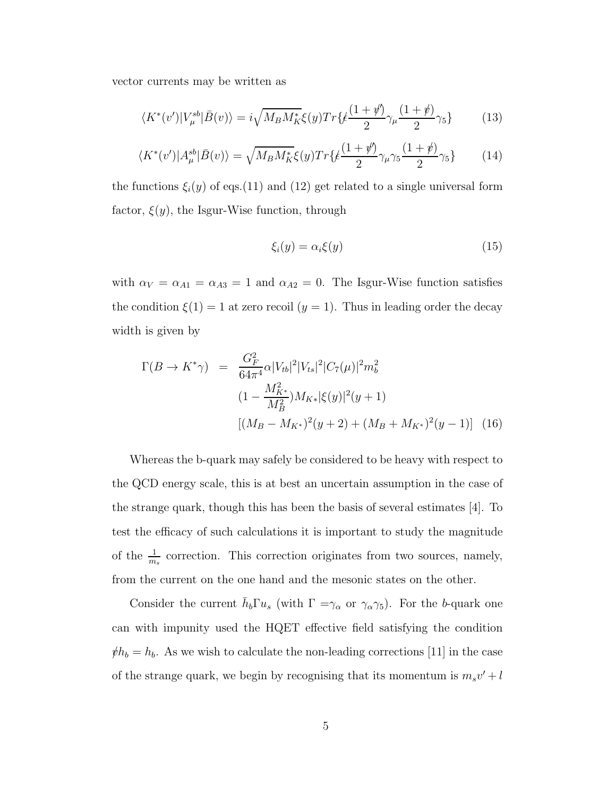vector currents may be written as

$$
\langle K^*(v')|V_{\mu}^{sb}|\bar{B}(v)\rangle = i\sqrt{M_B M_K^*} \xi(y) Tr\{\ell \frac{(1+\psi')}{2} \gamma_{\mu} \frac{(1+\psi)}{2} \gamma_5\} \tag{13}
$$

$$
\langle K^*(v')|A_\mu^{sb}|\bar{B}(v)\rangle = \sqrt{M_B M_K^*} \xi(y) Tr\{\xi \frac{(1+\psi')}{2} \gamma_\mu \gamma_5 \frac{(1+\psi)}{2} \gamma_5\} \tag{14}
$$

the functions  $\xi_i(y)$  of eqs.(11) and (12) get related to a single universal form factor,  $\xi(y)$ , the Isgur-Wise function, through

$$
\xi_i(y) = \alpha_i \xi(y) \tag{15}
$$

with  $\alpha_V = \alpha_{A1} = \alpha_{A3} = 1$  and  $\alpha_{A2} = 0$ . The Isgur-Wise function satisfies the condition  $\xi(1) = 1$  at zero recoil  $(y = 1)$ . Thus in leading order the decay width is given by

$$
\Gamma(B \to K^*\gamma) = \frac{G_F^2}{64\pi^4} \alpha |V_{tb}|^2 |V_{ts}|^2 |C_7(\mu)|^2 m_b^2
$$
  

$$
(1 - \frac{M_{K^*}^2}{M_B^2}) M_{K*} |\xi(y)|^2 (y+1)
$$
  

$$
[(M_B - M_{K^*})^2 (y+2) + (M_B + M_{K^*})^2 (y-1)]
$$
 (16)

Whereas the b-quark may safely be considered to be heavy with respect to the QCD energy scale, this is at best an uncertain assumption in the case of the strange quark, though this has been the basis of several estimates [4]. To test the efficacy of such calculations it is important to study the magnitude of the  $\frac{1}{m_s}$  correction. This correction originates from two sources, namely, from the current on the one hand and the mesonic states on the other.

Consider the current  $\bar{h}_b \Gamma u_s$  (with  $\Gamma = \gamma_\alpha$  or  $\gamma_\alpha \gamma_5$ ). For the b-quark one can with impunity used the HQET effective field satisfying the condition  $\psi h_b = h_b$ . As we wish to calculate the non-leading corrections [11] in the case of the strange quark, we begin by recognising that its momentum is  $m_s v' + l$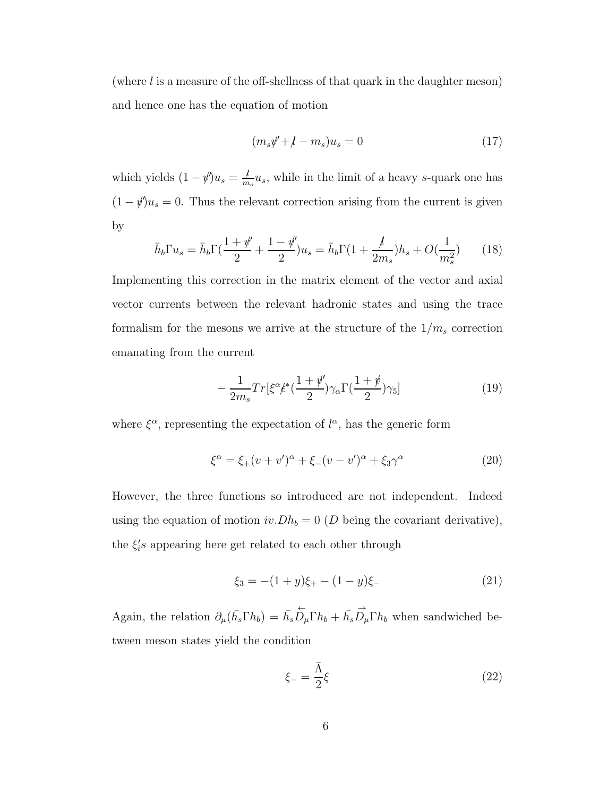(where  $l$  is a measure of the off-shellness of that quark in the daughter meson) and hence one has the equation of motion

$$
(m_s\psi' + l - m_s)u_s = 0\tag{17}
$$

which yields  $(1 - \psi)u_s = \frac{\mu}{m}$  $\frac{\mu}{m_s}u_s$ , while in the limit of a heavy s-quark one has  $(1 - \psi)u_s = 0$ . Thus the relevant correction arising from the current is given by

$$
\bar{h}_b \Gamma u_s = \bar{h}_b \Gamma(\frac{1+\psi'}{2} + \frac{1-\psi'}{2}) u_s = \bar{h}_b \Gamma(1 + \frac{l}{2m_s}) h_s + O(\frac{1}{m_s^2}) \tag{18}
$$

Implementing this correction in the matrix element of the vector and axial vector currents between the relevant hadronic states and using the trace formalism for the mesons we arrive at the structure of the  $1/m_s$  correction emanating from the current

$$
-\frac{1}{2m_s}Tr[\xi^{\alpha} \xi^* (\frac{1+\psi'}{2})\gamma_{\alpha} \Gamma(\frac{1+\psi}{2})\gamma_5]
$$
\n(19)

where  $\xi^{\alpha}$ , representing the expectation of  $l^{\alpha}$ , has the generic form

$$
\xi^{\alpha} = \xi_{+}(v + v')^{\alpha} + \xi_{-}(v - v')^{\alpha} + \xi_{3}\gamma^{\alpha}
$$
 (20)

However, the three functions so introduced are not independent. Indeed using the equation of motion  $iv.Dh_b = 0$  (D being the covariant derivative), the  $\xi_i$ 's appearing here get related to each other through

$$
\xi_3 = -(1+y)\xi_+ - (1-y)\xi_- \tag{21}
$$

Again, the relation  $\partial_{\mu}(\bar{h_s}\Gamma h_b) = \bar{h_s}$  $\stackrel{\leftarrow}{D}_{\mu}\Gamma h_b + \bar{h_s}$  $\overrightarrow{D}_{\mu}\Gamma h_{b}$  when sandwiched between meson states yield the condition

$$
\xi_{-} = \frac{\bar{\Lambda}}{2} \xi \tag{22}
$$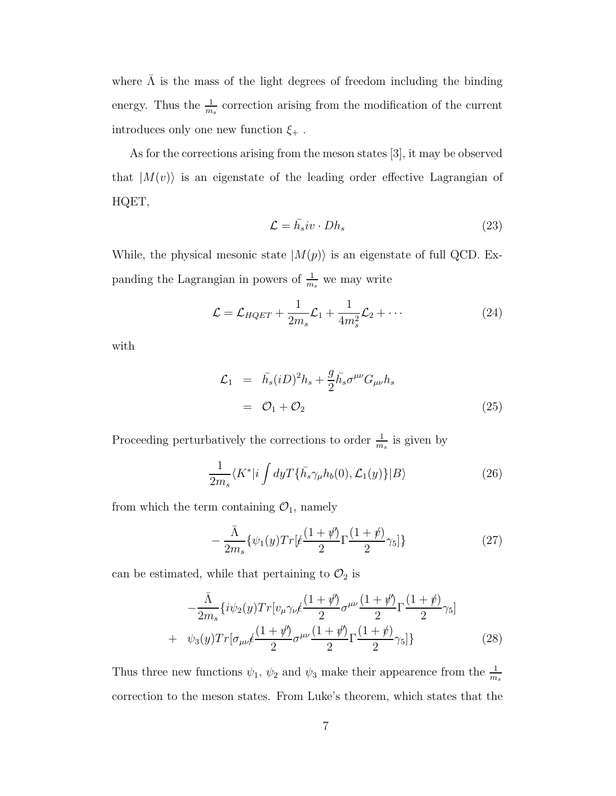where  $\bar{\Lambda}$  is the mass of the light degrees of freedom including the binding energy. Thus the  $\frac{1}{m_s}$  correction arising from the modification of the current introduces only one new function  $\xi_+$ .

As for the corrections arising from the meson states [3], it may be observed that  $|M(v)\rangle$  is an eigenstate of the leading order effective Lagrangian of HQET,

$$
\mathcal{L} = \bar{h}_s i v \cdot Dh_s \tag{23}
$$

While, the physical mesonic state  $|M(p)\rangle$  is an eigenstate of full QCD. Expanding the Lagrangian in powers of  $\frac{1}{m_s}$  we may write

$$
\mathcal{L} = \mathcal{L}_{HQET} + \frac{1}{2m_s} \mathcal{L}_1 + \frac{1}{4m_s^2} \mathcal{L}_2 + \cdots
$$
 (24)

with

$$
\mathcal{L}_1 = \bar{h}_s (iD)^2 h_s + \frac{g}{2} \bar{h}_s \sigma^{\mu\nu} G_{\mu\nu} h_s
$$
  
=  $\mathcal{O}_1 + \mathcal{O}_2$  (25)

Proceeding perturbatively the corrections to order  $\frac{1}{m_s}$  is given by

$$
\frac{1}{2m_s} \langle K^* | i \int dy T\{\bar{h}_s \gamma_\mu h_b(0), \mathcal{L}_1(y)\} | B \rangle \tag{26}
$$

from which the term containing  $\mathcal{O}_1$ , namely

$$
-\frac{\bar{\Lambda}}{2m_s} \{\psi_1(y)Tr\left[\frac{(1+\psi')}{2}\Gamma\frac{(1+\psi)}{2}\gamma_5\right]\}\tag{27}
$$

can be estimated, while that pertaining to  $\mathcal{O}_2$  is

$$
-\frac{\bar{\Lambda}}{2m_s} \left\{ i\psi_2(y) Tr[v_\mu \gamma_\nu \xi \frac{(1+\psi')}{2} \sigma^{\mu\nu} \frac{(1+\psi')}{2} \Gamma \frac{(1+\psi)}{2} \gamma_5 \right\}
$$
  
+ 
$$
\psi_3(y) Tr[\sigma_{\mu\nu} \xi \frac{(1+\psi')}{2} \sigma^{\mu\nu} \frac{(1+\psi')}{2} \Gamma \frac{(1+\psi)}{2} \gamma_5 ]
$$
 (28)

Thus three new functions  $\psi_1$ ,  $\psi_2$  and  $\psi_3$  make their appearence from the  $\frac{1}{m_s}$ correction to the meson states. From Luke's theorem, which states that the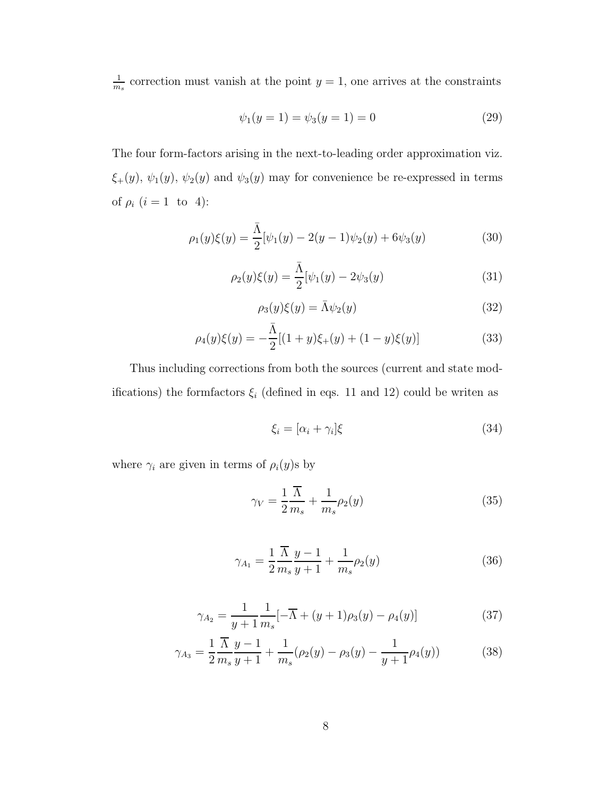1  $\frac{1}{m_s}$  correction must vanish at the point  $y = 1$ , one arrives at the constraints

$$
\psi_1(y=1) = \psi_3(y=1) = 0 \tag{29}
$$

The four form-factors arising in the next-to-leading order approximation viz.  $\xi_{+}(y), \psi_{1}(y), \psi_{2}(y)$  and  $\psi_{3}(y)$  may for convenience be re-expressed in terms of  $\rho_i$   $(i = 1$  to 4):

$$
\rho_1(y)\xi(y) = \frac{\bar{\Lambda}}{2}[\psi_1(y) - 2(y-1)\psi_2(y) + 6\psi_3(y) \tag{30}
$$

$$
\rho_2(y)\xi(y) = \frac{\bar{\Lambda}}{2}[\psi_1(y) - 2\psi_3(y)] \tag{31}
$$

$$
\rho_3(y)\xi(y) = \bar{\Lambda}\psi_2(y) \tag{32}
$$

$$
\rho_4(y)\xi(y) = -\frac{\bar{\Lambda}}{2}[(1+y)\xi_+(y) + (1-y)\xi(y)]\tag{33}
$$

Thus including corrections from both the sources (current and state modifications) the formfactors  $\xi_i$  (defined in eqs. 11 and 12) could be writen as

$$
\xi_i = [\alpha_i + \gamma_i]\xi \tag{34}
$$

where  $\gamma_i$  are given in terms of  $\rho_i(y)$ s by

$$
\gamma_V = \frac{1}{2} \frac{\overline{\Lambda}}{m_s} + \frac{1}{m_s} \rho_2(y) \tag{35}
$$

$$
\gamma_{A_1} = \frac{1}{2} \frac{\overline{\Lambda}}{m_s} \frac{y - 1}{y + 1} + \frac{1}{m_s} \rho_2(y) \tag{36}
$$

$$
\gamma_{A_2} = \frac{1}{y+1} \frac{1}{m_s} [-\overline{\Lambda} + (y+1)\rho_3(y) - \rho_4(y)] \tag{37}
$$

$$
\gamma_{A_3} = \frac{1}{2} \frac{\overline{\Lambda}}{m_s} \frac{y - 1}{y + 1} + \frac{1}{m_s} (\rho_2(y) - \rho_3(y) - \frac{1}{y + 1} \rho_4(y)) \tag{38}
$$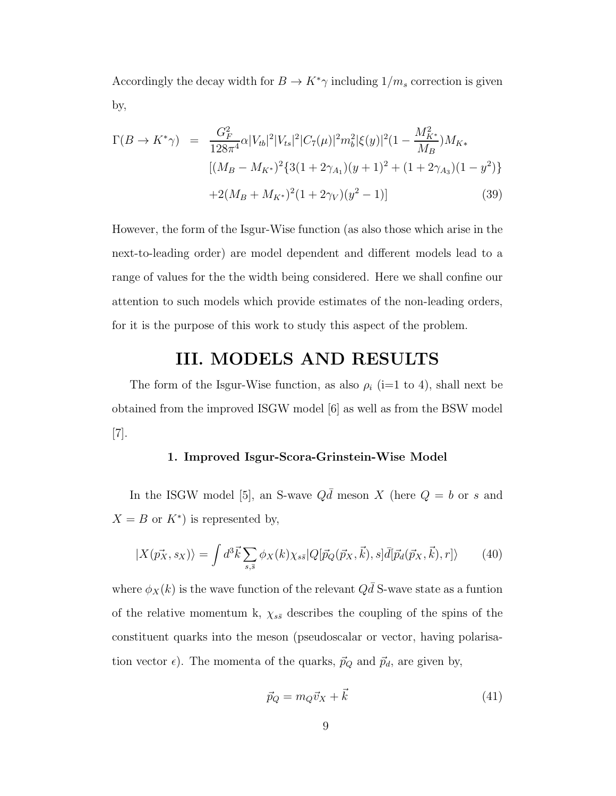Accordingly the decay width for  $B \to K^*\gamma$  including  $1/m_s$  correction is given by,

$$
\Gamma(B \to K^*\gamma) = \frac{G_F^2}{128\pi^4} \alpha |V_{tb}|^2 |V_{ts}|^2 |C_7(\mu)|^2 m_b^2 |\xi(y)|^2 (1 - \frac{M_{K^*}^2}{M_B}) M_{K*}
$$
  
\n
$$
[(M_B - M_{K^*})^2 \{3(1 + 2\gamma_{A_1})(y + 1)^2 + (1 + 2\gamma_{A_3})(1 - y^2)\}
$$
  
\n
$$
+ 2(M_B + M_{K^*})^2 (1 + 2\gamma_V)(y^2 - 1)]
$$
\n(39)

However, the form of the Isgur-Wise function (as also those which arise in the next-to-leading order) are model dependent and different models lead to a range of values for the the width being considered. Here we shall confine our attention to such models which provide estimates of the non-leading orders, for it is the purpose of this work to study this aspect of the problem.

### III. MODELS AND RESULTS

The form of the Isgur-Wise function, as also  $\rho_i$  (i=1 to 4), shall next be obtained from the improved ISGW model [6] as well as from the BSW model [7].

### 1. Improved Isgur-Scora-Grinstein-Wise Model

In the ISGW model [5], an S-wave  $Q\bar{d}$  meson X (here  $Q = b$  or s and  $X = B$  or  $K^*$ ) is represented by,

$$
|X(\vec{p_X}, s_X)\rangle = \int d^3\vec{k} \sum_{s,\bar{s}} \phi_X(k) \chi_{s\bar{s}} |Q[\vec{p}_Q(\vec{p}_X, \vec{k}), s] \bar{d}[\vec{p}_d(\vec{p}_X, \vec{k}), r]\rangle \tag{40}
$$

where  $\phi_X(k)$  is the wave function of the relevant  $Q\bar{d}$  S-wave state as a funtion of the relative momentum k,  $\chi_{s\bar{s}}$  describes the coupling of the spins of the constituent quarks into the meson (pseudoscalar or vector, having polarisation vector  $\epsilon$ ). The momenta of the quarks,  $\vec{p}_Q$  and  $\vec{p}_d$ , are given by,

$$
\vec{p}_Q = m_Q \vec{v}_X + \vec{k} \tag{41}
$$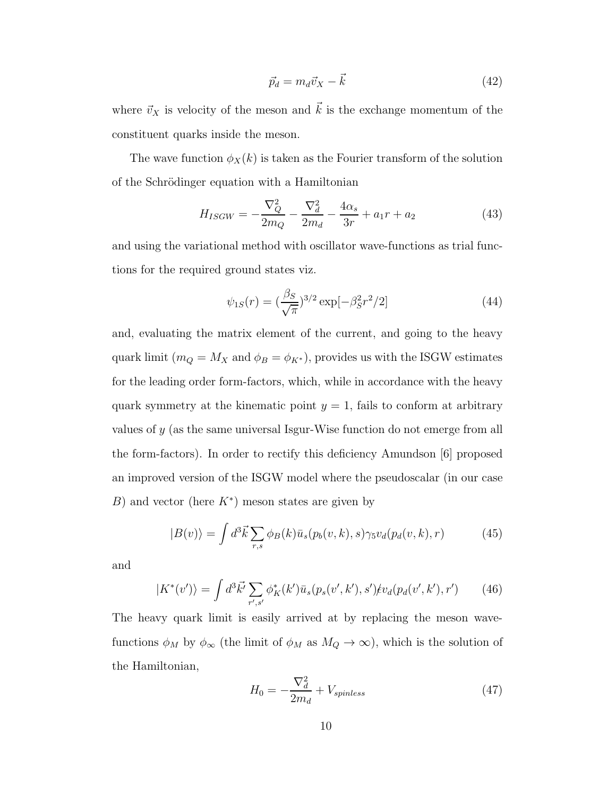$$
\vec{p}_d = m_d \vec{v}_X - \vec{k} \tag{42}
$$

where  $\vec{v}_X$  is velocity of the meson and  $\vec{k}$  is the exchange momentum of the constituent quarks inside the meson.

The wave function  $\phi_X(k)$  is taken as the Fourier transform of the solution of the Schrödinger equation with a Hamiltonian

$$
H_{ISGW} = -\frac{\nabla_Q^2}{2m_Q} - \frac{\nabla_d^2}{2m_d} - \frac{4\alpha_s}{3r} + a_1r + a_2 \tag{43}
$$

and using the variational method with oscillator wave-functions as trial functions for the required ground states viz.

$$
\psi_{1S}(r) = \left(\frac{\beta_S}{\sqrt{\pi}}\right)^{3/2} \exp[-\beta_S^2 r^2/2] \tag{44}
$$

and, evaluating the matrix element of the current, and going to the heavy quark limit ( $m_Q = M_X$  and  $\phi_B = \phi_{K^*}$ ), provides us with the ISGW estimates for the leading order form-factors, which, while in accordance with the heavy quark symmetry at the kinematic point  $y = 1$ , fails to conform at arbitrary values of y (as the same universal Isgur-Wise function do not emerge from all the form-factors). In order to rectify this deficiency Amundson [6] proposed an improved version of the ISGW model where the pseudoscalar (in our case B) and vector (here  $K^*$ ) meson states are given by

$$
|B(v)\rangle = \int d^3\vec{k} \sum_{r,s} \phi_B(k)\bar{u}_s(p_b(v,k),s)\gamma_5 v_d(p_d(v,k),r)
$$
 (45)

and

$$
|K^*(v')\rangle = \int d^3\vec{k'} \sum_{r',s'} \phi_K^*(k') \bar{u}_s(p_s(v',k'),s') \not\models v_d(p_d(v',k'),r') \tag{46}
$$

The heavy quark limit is easily arrived at by replacing the meson wavefunctions  $\phi_M$  by  $\phi_\infty$  (the limit of  $\phi_M$  as  $M_Q \to \infty$ ), which is the solution of the Hamiltonian,

$$
H_0 = -\frac{\nabla_d^2}{2m_d} + V_{spinless}
$$
\n(47)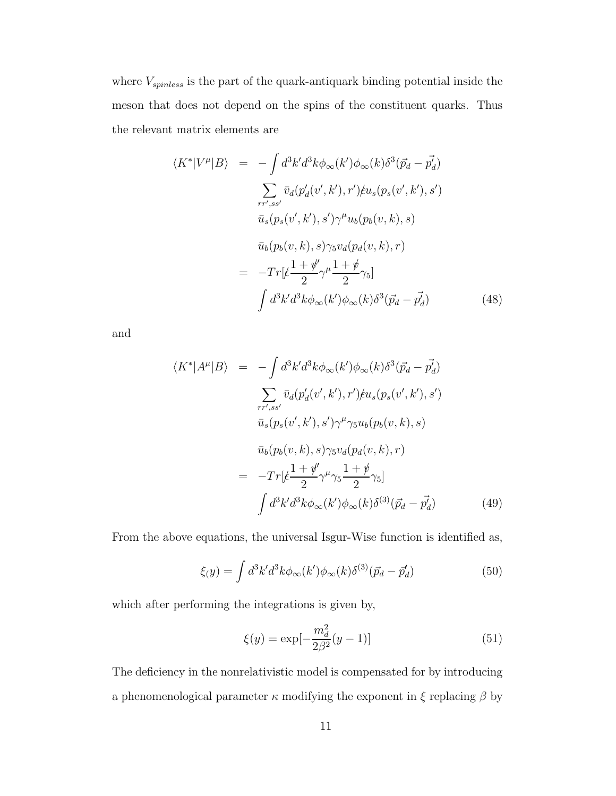where  $V_{spinless}$  is the part of the quark-antiquark binding potential inside the meson that does not depend on the spins of the constituent quarks. Thus the relevant matrix elements are

$$
\langle K^* | V^\mu | B \rangle = - \int d^3k' d^3k \phi_\infty(k') \phi_\infty(k) \delta^3(\vec{p}_d - \vec{p}_d)
$$
  

$$
\sum_{rr',ss'} \bar{v}_d(p_d'(v',k'),r') \mu_s(p_s(v',k'),s')
$$
  

$$
\bar{u}_s(p_s(v',k'),s') \gamma^\mu u_b(p_b(v,k),s)
$$
  

$$
\bar{u}_b(p_b(v,k),s) \gamma_5 v_d(p_d(v,k),r)
$$
  

$$
= -Tr[\xi \frac{1+\psi'}{2} \gamma^\mu \frac{1+\psi}{2} \gamma_5]
$$
  

$$
\int d^3k' d^3k \phi_\infty(k') \phi_\infty(k) \delta^3(\vec{p}_d - \vec{p}_d')
$$
 (48)

and

$$
\langle K^* | A^\mu | B \rangle = - \int d^3 k' d^3 k \phi_\infty(k') \phi_\infty(k) \delta^3(\vec{p_d} - \vec{p_d})
$$
  

$$
\sum_{rr',ss'} \bar{v}_d(p'_d(v',k'),r') \mu_s(p_s(v',k'),s')
$$
  

$$
\bar{u}_s(p_s(v',k'),s') \gamma^\mu \gamma_5 u_b(p_b(v,k),s)
$$
  

$$
\bar{u}_b(p_b(v,k),s) \gamma_5 v_d(p_d(v,k),r)
$$
  

$$
= -Tr[\xi \frac{1+\psi'}{2} \gamma^\mu \gamma_5 \frac{1+\psi}{2} \gamma_5]
$$
  

$$
\int d^3 k' d^3 k \phi_\infty(k') \phi_\infty(k) \delta^{(3)}(\vec{p_d} - \vec{p_d'})
$$
(49)

From the above equations, the universal Isgur-Wise function is identified as,

$$
\xi(y) = \int d^3k' d^3k \phi_{\infty}(k') \phi_{\infty}(k) \delta^{(3)}(\vec{p}_d - \vec{p}_d')
$$
(50)

which after performing the integrations is given by,

$$
\xi(y) = \exp[-\frac{m_d^2}{2\beta^2}(y-1)]\tag{51}
$$

The deficiency in the nonrelativistic model is compensated for by introducing a phenomenological parameter  $\kappa$  modifying the exponent in  $\xi$  replacing  $\beta$  by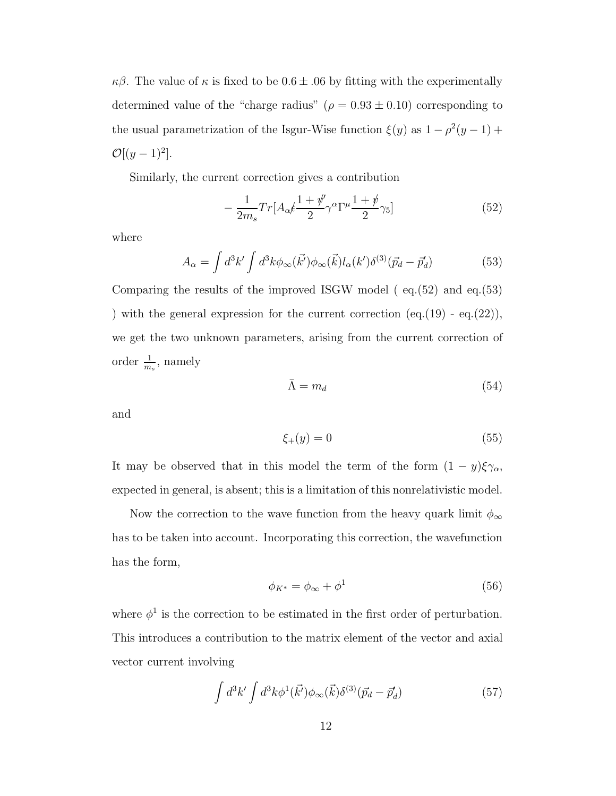$κβ$ . The value of κ is fixed to be  $0.6 ± .06$  by fitting with the experimentally determined value of the "charge radius" ( $\rho = 0.93 \pm 0.10$ ) corresponding to the usual parametrization of the Isgur-Wise function  $\xi(y)$  as  $1 - \rho^2(y - 1) + \rho^2(y - 1)$  $\mathcal{O}[(y-1)^2].$ 

Similarly, the current correction gives a contribution

$$
-\frac{1}{2m_s}Tr[A_{\alpha}t\frac{1+\psi'}{2}\gamma^{\alpha}\Gamma^{\mu}\frac{1+\psi}{2}\gamma_5]
$$
\n(52)

where

$$
A_{\alpha} = \int d^3k' \int d^3k \phi_{\infty}(\vec{k'}) \phi_{\infty}(\vec{k}) l_{\alpha}(k') \delta^{(3)}(\vec{p}_d - \vec{p}_d')
$$
(53)

Comparing the results of the improved ISGW model ( eq.(52) and eq.(53) ) with the general expression for the current correction  $(eq.(19) - eq.(22)),$ we get the two unknown parameters, arising from the current correction of order  $\frac{1}{m_s}$ , namely

$$
\bar{\Lambda} = m_d \tag{54}
$$

and

$$
\xi_+(y) = 0\tag{55}
$$

It may be observed that in this model the term of the form  $(1 - y)\xi_{\gamma_\alpha}$ , expected in general, is absent; this is a limitation of this nonrelativistic model.

Now the correction to the wave function from the heavy quark limit  $\phi_{\infty}$ has to be taken into account. Incorporating this correction, the wavefunction has the form,

$$
\phi_{K^*} = \phi_{\infty} + \phi^1 \tag{56}
$$

where  $\phi^1$  is the correction to be estimated in the first order of perturbation. This introduces a contribution to the matrix element of the vector and axial vector current involving

$$
\int d^3k' \int d^3k \phi^1(\vec{k'}) \phi_\infty(\vec{k}) \delta^{(3)}(\vec{p}_d - \vec{p}'_d) \tag{57}
$$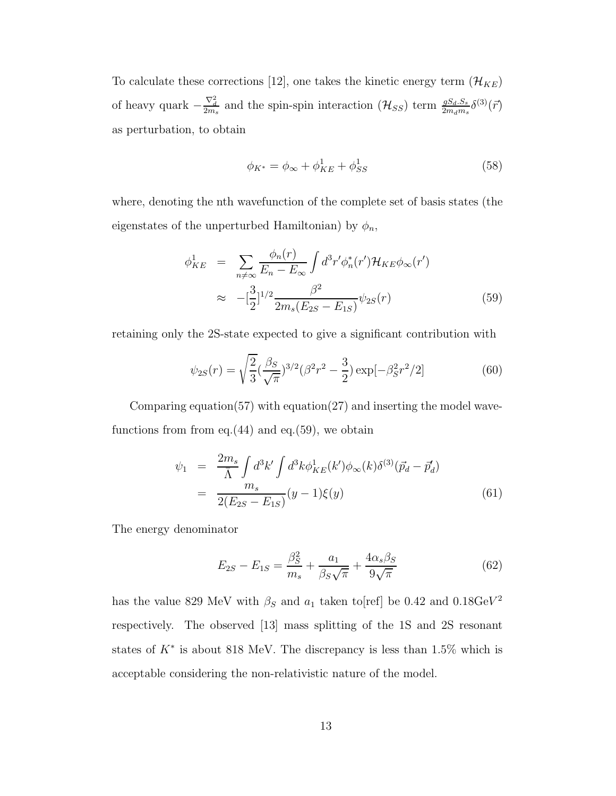To calculate these corrections [12], one takes the kinetic energy term  $(\mathcal{H}_{KE})$ of heavy quark  $-\frac{\nabla_d^2}{2m_s}$  and the spin-spin interaction  $(\mathcal{H}_{SS})$  term  $\frac{gS_d.S_s}{2m_d m_s}\delta^{(3)}(\vec{r})$ as perturbation, to obtain

$$
\phi_{K^*} = \phi_{\infty} + \phi_{KE}^1 + \phi_{SS}^1 \tag{58}
$$

where, denoting the nth wavefunction of the complete set of basis states (the eigenstates of the unperturbed Hamiltonian) by  $\phi_n$ ,

$$
\phi_{KE}^{1} = \sum_{n \neq \infty} \frac{\phi_n(r)}{E_n - E_{\infty}} \int d^3 r' \phi_n^*(r') \mathcal{H}_{KE} \phi_{\infty}(r')
$$
  

$$
\approx -[\frac{3}{2}]^{1/2} \frac{\beta^2}{2m_s(E_{2S} - E_{1S})} \psi_{2S}(r)
$$
(59)

retaining only the 2S-state expected to give a significant contribution with

$$
\psi_{2S}(r) = \sqrt{\frac{2}{3}} \left(\frac{\beta_S}{\sqrt{\pi}}\right)^{3/2} (\beta^2 r^2 - \frac{3}{2}) \exp[-\beta_S^2 r^2 / 2] \tag{60}
$$

Comparing equation(57) with equation(27) and inserting the model wavefunctions from from eq. $(44)$  and eq. $(59)$ , we obtain

$$
\psi_1 = \frac{2m_s}{\bar{\Lambda}} \int d^3k' \int d^3k \phi_{KE}^1(k') \phi_\infty(k) \delta^{(3)}(\vec{p}_d - \vec{p}'_d)
$$
  
= 
$$
\frac{m_s}{2(E_{2S} - E_{1S})} (y - 1) \xi(y)
$$
(61)

The energy denominator

$$
E_{2S} - E_{1S} = \frac{\beta_S^2}{m_s} + \frac{a_1}{\beta_S \sqrt{\pi}} + \frac{4\alpha_s \beta_S}{9\sqrt{\pi}}
$$
(62)

has the value 829 MeV with  $\beta_S$  and  $a_1$  taken to[ref] be 0.42 and 0.18GeV<sup>2</sup> respectively. The observed [13] mass splitting of the 1S and 2S resonant states of  $K^*$  is about 818 MeV. The discrepancy is less than 1.5% which is acceptable considering the non-relativistic nature of the model.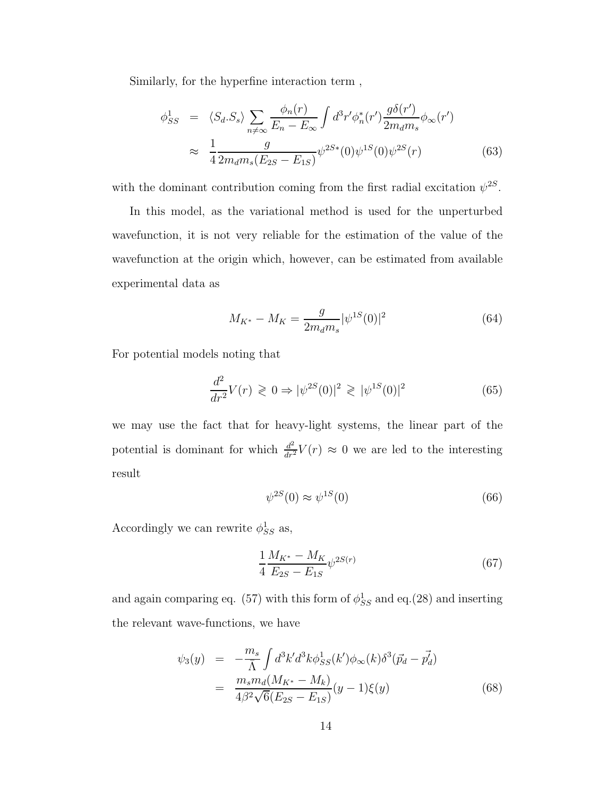Similarly, for the hyperfine interaction term ,

$$
\phi_{SS}^{1} = \langle S_d. S_s \rangle \sum_{n \neq \infty} \frac{\phi_n(r)}{E_n - E_{\infty}} \int d^3 r' \phi_n^*(r') \frac{g \delta(r')}{2m_d m_s} \phi_{\infty}(r')
$$
  

$$
\approx \frac{1}{4} \frac{g}{2m_d m_s (E_{2S} - E_{1S})} \psi^{2S*}(0) \psi^{1S}(0) \psi^{2S}(r)
$$
(63)

with the dominant contribution coming from the first radial excitation  $\psi^{2S}$ .

In this model, as the variational method is used for the unperturbed wavefunction, it is not very reliable for the estimation of the value of the wavefunction at the origin which, however, can be estimated from available experimental data as

$$
M_{K^*} - M_K = \frac{g}{2m_d m_s} |\psi^{1S}(0)|^2 \tag{64}
$$

For potential models noting that

$$
\frac{d^2}{dr^2}V(r) \ge 0 \Rightarrow |\psi^{2S}(0)|^2 \ge |\psi^{1S}(0)|^2 \tag{65}
$$

we may use the fact that for heavy-light systems, the linear part of the potential is dominant for which  $\frac{d^2}{dr^2}V(r) \approx 0$  we are led to the interesting result

$$
\psi^{2S}(0) \approx \psi^{1S}(0) \tag{66}
$$

Accordingly we can rewrite  $\phi_{SS}^1$  as,

$$
\frac{1}{4} \frac{M_{K^*} - M_K}{E_{2S} - E_{1S}} \psi^{2S(r)} \tag{67}
$$

and again comparing eq. (57) with this form of  $\phi_{SS}^1$  and eq.(28) and inserting the relevant wave-functions, we have

$$
\psi_3(y) = -\frac{m_s}{\Lambda} \int d^3k' d^3k \phi_{SS}^1(k') \phi_\infty(k) \delta^3(\vec{p}_d - \vec{p'_d})
$$
  

$$
= \frac{m_s m_d (M_{K^*} - M_k)}{4\beta^2 \sqrt{6(E_{2S} - E_{1S})}} (y - 1) \xi(y)
$$
(68)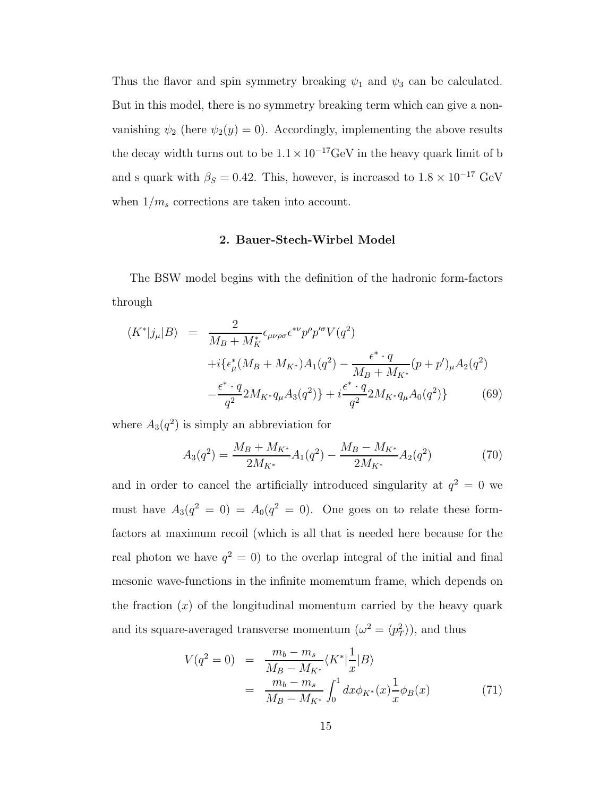Thus the flavor and spin symmetry breaking  $\psi_1$  and  $\psi_3$  can be calculated. But in this model, there is no symmetry breaking term which can give a nonvanishing  $\psi_2$  (here  $\psi_2(y) = 0$ ). Accordingly, implementing the above results the decay width turns out to be  $1.1 \times 10^{-17}$  GeV in the heavy quark limit of b and s quark with  $\beta_S = 0.42$ . This, however, is increased to  $1.8 \times 10^{-17}$  GeV when  $1/m_s$  corrections are taken into account.

### 2. Bauer-Stech-Wirbel Model

The BSW model begins with the definition of the hadronic form-factors through

$$
\langle K^*|j_\mu|B\rangle = \frac{2}{M_B + M_K^*} \epsilon_{\mu\nu\rho\sigma} \epsilon^{*\nu} p^\rho p^{\prime \sigma} V(q^2)
$$
  
+  $i \{ \epsilon^*_{\mu} (M_B + M_{K^*}) A_1(q^2) - \frac{\epsilon^* \cdot q}{M_B + M_{K^*}} (p + p')_{\mu} A_2(q^2)$   
-  $\frac{\epsilon^* \cdot q}{q^2} 2M_{K^*} q_\mu A_3(q^2) \} + i \frac{\epsilon^* \cdot q}{q^2} 2M_{K^*} q_\mu A_0(q^2) \}$  (69)

where  $A_3(q^2)$  is simply an abbreviation for

$$
A_3(q^2) = \frac{M_B + M_{K^*}}{2M_{K^*}} A_1(q^2) - \frac{M_B - M_{K^*}}{2M_{K^*}} A_2(q^2)
$$
(70)

and in order to cancel the artificially introduced singularity at  $q^2 = 0$  we must have  $A_3(q^2 = 0) = A_0(q^2 = 0)$ . One goes on to relate these formfactors at maximum recoil (which is all that is needed here because for the real photon we have  $q^2 = 0$  to the overlap integral of the initial and final mesonic wave-functions in the infinite momemtum frame, which depends on the fraction  $(x)$  of the longitudinal momentum carried by the heavy quark and its square-averaged transverse momentum  $(\omega^2 = \langle p_T^2 \rangle)$ , and thus

$$
V(q^2 = 0) = \frac{m_b - m_s}{M_B - M_{K^*}} \langle K^* | \frac{1}{x} | B \rangle
$$
  
= 
$$
\frac{m_b - m_s}{M_B - M_{K^*}} \int_0^1 dx \phi_{K^*}(x) \frac{1}{x} \phi_B(x)
$$
(71)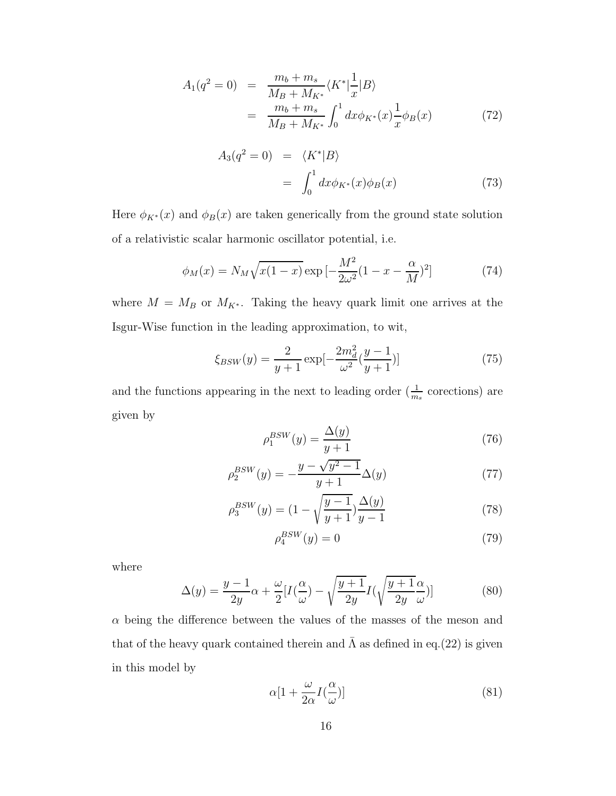$$
A_1(q^2 = 0) = \frac{m_b + m_s}{M_B + M_{K^*}} \langle K^* | \frac{1}{x} | B \rangle
$$
  
= 
$$
\frac{m_b + m_s}{M_B + M_{K^*}} \int_0^1 dx \phi_{K^*}(x) \frac{1}{x} \phi_B(x)
$$
(72)

$$
A_3(q^2 = 0) = \langle K^* | B \rangle
$$
  
= 
$$
\int_0^1 dx \phi_{K^*}(x) \phi_B(x)
$$
 (73)

Here  $\phi_{K^*}(x)$  and  $\phi_B(x)$  are taken generically from the ground state solution of a relativistic scalar harmonic oscillator potential, i.e.

$$
\phi_M(x) = N_M \sqrt{x(1-x)} \exp\left[-\frac{M^2}{2\omega^2}(1-x-\frac{\alpha}{M})^2\right] \tag{74}
$$

where  $M = M_B$  or  $M_{K^*}$ . Taking the heavy quark limit one arrives at the Isgur-Wise function in the leading approximation, to wit,

$$
\xi_{BSW}(y) = \frac{2}{y+1} \exp[-\frac{2m_d^2}{\omega^2}(\frac{y-1}{y+1})]
$$
(75)

and the functions appearing in the next to leading order  $(\frac{1}{m_s}$  corections) are given by

$$
\rho_1^{BSW}(y) = \frac{\Delta(y)}{y+1} \tag{76}
$$

$$
\rho_2^{BSW}(y) = -\frac{y - \sqrt{y^2 - 1}}{y + 1} \Delta(y)
$$
\n(77)

$$
\rho_3^{BSW}(y) = (1 - \sqrt{\frac{y-1}{y+1}}) \frac{\Delta(y)}{y-1}
$$
\n(78)

$$
\rho_4^{BSW}(y) = 0\tag{79}
$$

where

$$
\Delta(y) = \frac{y-1}{2y}\alpha + \frac{\omega}{2}[I(\frac{\alpha}{\omega}) - \sqrt{\frac{y+1}{2y}}I(\sqrt{\frac{y+1}{2y}}\frac{\alpha}{\omega})]
$$
(80)

 $\alpha$  being the difference between the values of the masses of the meson and that of the heavy quark contained therein and  $\bar{\Lambda}$  as defined in eq.(22) is given in this model by

$$
\alpha[1 + \frac{\omega}{2\alpha}I(\frac{\alpha}{\omega})]
$$
\n(81)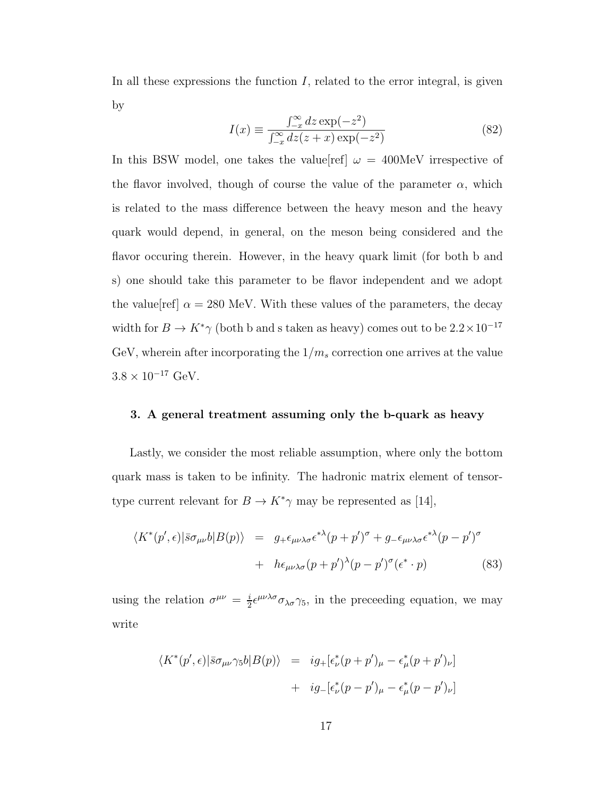In all these expressions the function  $I$ , related to the error integral, is given by

$$
I(x) \equiv \frac{\int_{-x}^{\infty} dz \exp(-z^2)}{\int_{-x}^{\infty} dz (z+x) \exp(-z^2)}
$$
(82)

In this BSW model, one takes the value ref  $\omega = 400$ MeV irrespective of the flavor involved, though of course the value of the parameter  $\alpha$ , which is related to the mass difference between the heavy meson and the heavy quark would depend, in general, on the meson being considered and the flavor occuring therein. However, in the heavy quark limit (for both b and s) one should take this parameter to be flavor independent and we adopt the value  $\text{ref}$   $\alpha = 280 \text{ MeV}$ . With these values of the parameters, the decay width for  $B \to K^*\gamma$  (both b and s taken as heavy) comes out to be  $2.2 \times 10^{-17}$ GeV, wherein after incorporating the  $1/m_s$  correction one arrives at the value  $3.8 \times 10^{-17}$  GeV.

#### 3. A general treatment assuming only the b-quark as heavy

Lastly, we consider the most reliable assumption, where only the bottom quark mass is taken to be infinity. The hadronic matrix element of tensortype current relevant for  $B \to K^*\gamma$  may be represented as [14],

$$
\langle K^*(p', \epsilon) | \bar{s} \sigma_{\mu\nu} b | B(p) \rangle = g_+ \epsilon_{\mu\nu\lambda\sigma} \epsilon^{*\lambda} (p + p')^\sigma + g_- \epsilon_{\mu\nu\lambda\sigma} \epsilon^{*\lambda} (p - p')^\sigma + h \epsilon_{\mu\nu\lambda\sigma} (p + p')^\lambda (p - p')^\sigma (\epsilon^* \cdot p) \tag{83}
$$

using the relation  $\sigma^{\mu\nu} = \frac{i}{2}$  $\frac{i}{2} \epsilon^{\mu\nu\lambda\sigma} \sigma_{\lambda\sigma} \gamma_5$ , in the preceeding equation, we may write

$$
\langle K^*(p', \epsilon) | \bar{s} \sigma_{\mu\nu} \gamma_5 b | B(p) \rangle = i g_+ [\epsilon^*_{\nu} (p + p')_{\mu} - \epsilon^*_{\mu} (p + p')_{\nu}] + i g_- [\epsilon^*_{\nu} (p - p')_{\mu} - \epsilon^*_{\mu} (p - p')_{\nu}]
$$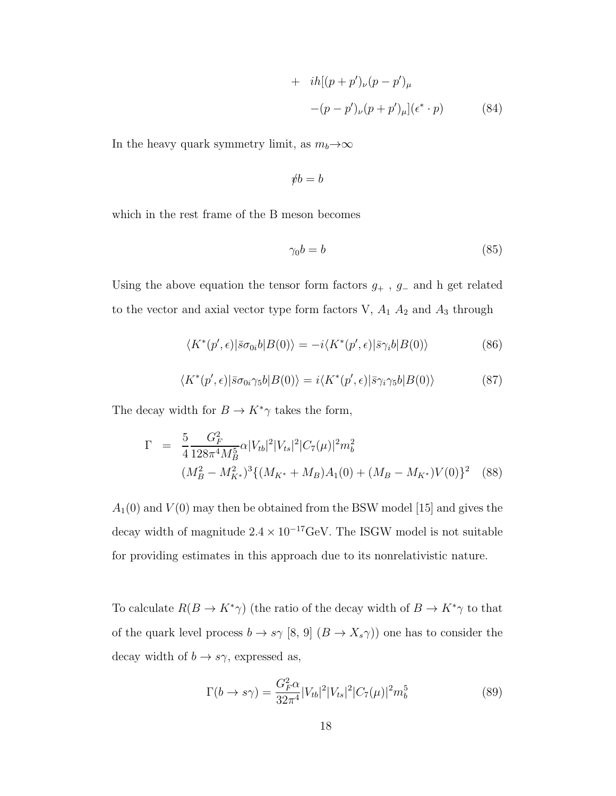+ 
$$
i h[(p+p')_{\nu}(p-p')_{\mu}
$$
  
-(p-p')\_{\nu}(p+p')\_{\mu}](\epsilon^\* \cdot p) (84)

In the heavy quark symmetry limit, as  $m_b \rightarrow \infty$ 

$$
\rlap/vb = b
$$

which in the rest frame of the B meson becomes

$$
\gamma_0 b = b \tag{85}
$$

Using the above equation the tensor form factors  $g_{+}$ ,  $g_{-}$  and h get related to the vector and axial vector type form factors V,  $A_1$   $A_2$  and  $A_3$  through

$$
\langle K^*(p',\epsilon)|\bar{s}\sigma_{0i}b|B(0)\rangle = -i\langle K^*(p',\epsilon)|\bar{s}\gamma_ib|B(0)\rangle
$$
 (86)

$$
\langle K^*(p', \epsilon) | \bar{s} \sigma_{0i} \gamma_5 b | B(0) \rangle = i \langle K^*(p', \epsilon) | \bar{s} \gamma_i \gamma_5 b | B(0) \rangle \tag{87}
$$

The decay width for  $B\to K^*\gamma$  takes the form,

$$
\Gamma = \frac{5}{4} \frac{G_F^2}{128\pi^4 M_B^5} \alpha |V_{tb}|^2 |V_{ts}|^2 |C_7(\mu)|^2 m_b^2
$$
  

$$
(M_B^2 - M_{K^*}^2)^3 \{ (M_{K^*} + M_B)A_1(0) + (M_B - M_{K^*})V(0) \}^2
$$
 (88)

 $A_1(0)$  and  $V(0)$  may then be obtained from the BSW model [15] and gives the decay width of magnitude  $2.4\times10^{-17} \text{GeV}.$  The ISGW model is not suitable for providing estimates in this approach due to its nonrelativistic nature.

To calculate  $R(B \to K^* \gamma)$  (the ratio of the decay width of  $B \to K^* \gamma$  to that of the quark level process  $b \to s\gamma$  [8, 9]  $(B \to X_s\gamma)$  one has to consider the decay width of  $b \to s\gamma$ , expressed as,

$$
\Gamma(b \to s\gamma) = \frac{G_F^2 \alpha}{32\pi^4} |V_{tb}|^2 |V_{ts}|^2 |C_7(\mu)|^2 m_b^5 \tag{89}
$$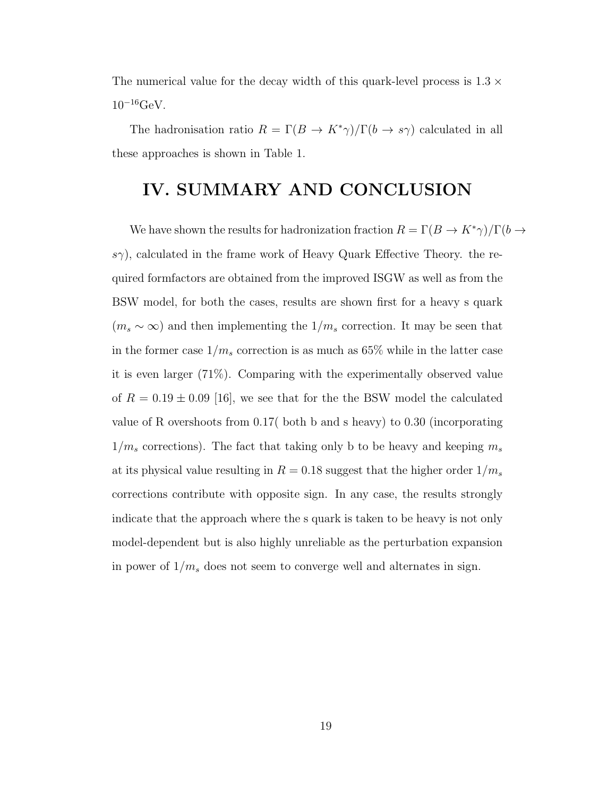The numerical value for the decay width of this quark-level process is  $1.3 \times$  $10^{-16} \text{GeV}.$ 

The hadronisation ratio  $R = \Gamma(B \to K^* \gamma)/\Gamma(b \to s \gamma)$  calculated in all these approaches is shown in Table 1.

### IV. SUMMARY AND CONCLUSION

We have shown the results for hadronization fraction  $R = \Gamma(B \to K^* \gamma)/\Gamma(b \to \gamma)$  $s\gamma$ , calculated in the frame work of Heavy Quark Effective Theory. the required formfactors are obtained from the improved ISGW as well as from the BSW model, for both the cases, results are shown first for a heavy s quark  $(m_s \sim \infty)$  and then implementing the  $1/m_s$  correction. It may be seen that in the former case  $1/m_s$  correction is as much as 65% while in the latter case it is even larger (71%). Comparing with the experimentally observed value of  $R = 0.19 \pm 0.09$  [16], we see that for the the BSW model the calculated value of R overshoots from 0.17( both b and s heavy) to 0.30 (incorporating  $1/m_s$  corrections). The fact that taking only b to be heavy and keeping  $m_s$ at its physical value resulting in  $R = 0.18$  suggest that the higher order  $1/m_s$ corrections contribute with opposite sign. In any case, the results strongly indicate that the approach where the s quark is taken to be heavy is not only model-dependent but is also highly unreliable as the perturbation expansion in power of  $1/m_s$  does not seem to converge well and alternates in sign.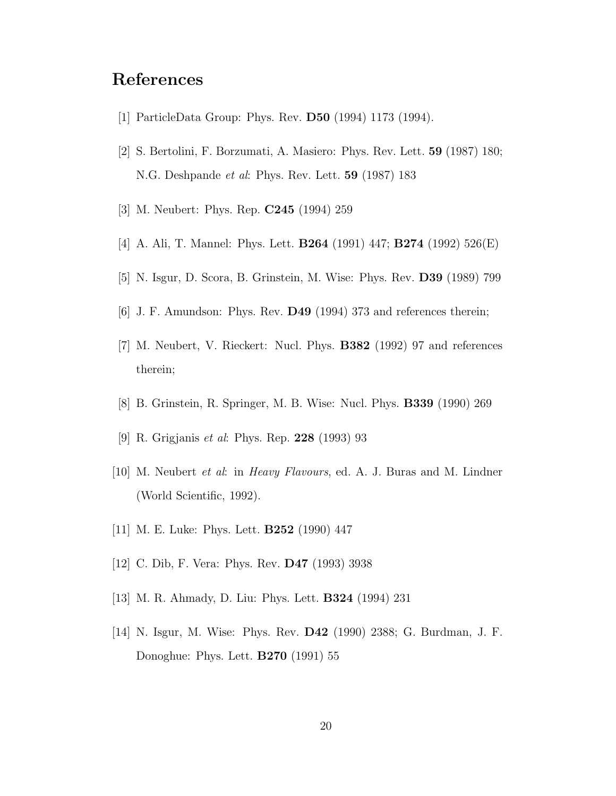### References

- [1] ParticleData Group: Phys. Rev. D50 (1994) 1173 (1994).
- [2] S. Bertolini, F. Borzumati, A. Masiero: Phys. Rev. Lett. 59 (1987) 180; N.G. Deshpande et al: Phys. Rev. Lett. 59 (1987) 183
- [3] M. Neubert: Phys. Rep. C245 (1994) 259
- [4] A. Ali, T. Mannel: Phys. Lett. B264 (1991) 447; B274 (1992) 526(E)
- [5] N. Isgur, D. Scora, B. Grinstein, M. Wise: Phys. Rev. D39 (1989) 799
- [6] J. F. Amundson: Phys. Rev. D49 (1994) 373 and references therein;
- [7] M. Neubert, V. Rieckert: Nucl. Phys. B382 (1992) 97 and references therein;
- [8] B. Grinstein, R. Springer, M. B. Wise: Nucl. Phys. B339 (1990) 269
- [9] R. Grigjanis et al: Phys. Rep. 228 (1993) 93
- [10] M. Neubert et al: in Heavy Flavours, ed. A. J. Buras and M. Lindner (World Scientific, 1992).
- [11] M. E. Luke: Phys. Lett. B252 (1990) 447
- [12] C. Dib, F. Vera: Phys. Rev. D47 (1993) 3938
- [13] M. R. Ahmady, D. Liu: Phys. Lett. B324 (1994) 231
- [14] N. Isgur, M. Wise: Phys. Rev. D42 (1990) 2388; G. Burdman, J. F. Donoghue: Phys. Lett. B270 (1991) 55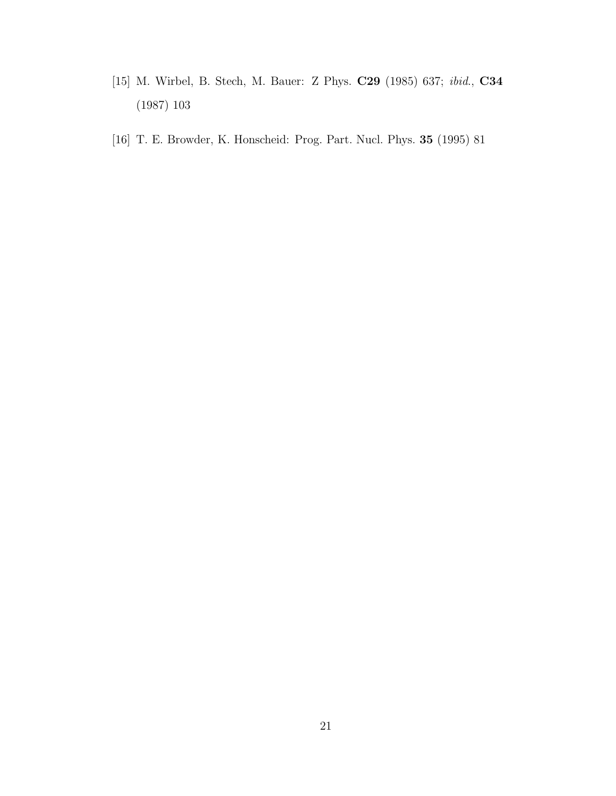- [15] M. Wirbel, B. Stech, M. Bauer: Z Phys. C29 (1985) 637; ibid., C34 (1987) 103
- [16] T. E. Browder, K. Honscheid: Prog. Part. Nucl. Phys. 35 (1995) 81